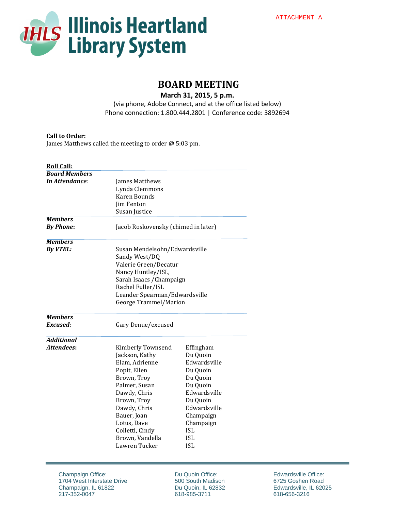

# **BOARD MEETING**

**March 31, 2015, 5 p.m.** (via phone, Adobe Connect, and at the office listed below) Phone connection: 1.800.444.2801 | Conference code: 3892694

#### **Call to Order:**

James Matthews called the meeting to order @ 5:03 pm.

| <b>Roll Call:</b>     |                                     |              |
|-----------------------|-------------------------------------|--------------|
| <b>Board Members</b>  |                                     |              |
| <b>In Attendance:</b> | James Matthews                      |              |
|                       | Lynda Clemmons                      |              |
|                       | <b>Karen Bounds</b>                 |              |
|                       | <b>Jim Fenton</b>                   |              |
|                       | Susan Justice                       |              |
| <b>Members</b>        |                                     |              |
| <b>By Phone:</b>      | Jacob Roskovensky (chimed in later) |              |
| <b>Members</b>        |                                     |              |
| <b>By VTEL:</b>       | Susan Mendelsohn/Edwardsville       |              |
|                       | Sandy West/DQ                       |              |
|                       | Valerie Green/Decatur               |              |
|                       | Nancy Huntley/ISL,                  |              |
|                       |                                     |              |
|                       | Sarah Isaacs / Champaign            |              |
|                       | Rachel Fuller/ISL                   |              |
|                       | Leander Spearman/Edwardsville       |              |
|                       | George Trammel/Marion               |              |
| <b>Members</b>        |                                     |              |
| Excused:              | Gary Denue/excused                  |              |
| <b>Additional</b>     |                                     |              |
| <b>Attendees:</b>     | Kimberly Townsend                   | Effingham    |
|                       | Jackson, Kathy                      | Du Quoin     |
|                       | Elam, Adrienne                      | Edwardsville |
|                       | Popit, Ellen                        | Du Quoin     |
|                       | Brown, Troy                         | Du Quoin     |
|                       | Palmer, Susan                       | Du Quoin     |
|                       | Dawdy, Chris                        | Edwardsville |
|                       | Brown, Troy                         | Du Quoin     |
|                       | Dawdy, Chris                        | Edwardsville |
|                       | Bauer, Joan                         | Champaign    |
|                       | Lotus, Dave                         | Champaign    |
|                       | Colletti, Cindy                     | <b>ISL</b>   |
|                       | Brown, Vandella                     | <b>ISL</b>   |
|                       | Lawren Tucker                       | <b>ISL</b>   |
|                       |                                     |              |

Du Quoin Office: 500 South Madison Du Quoin, IL 62832 618-985-3711

Edwardsville Office: 6725 Goshen Road Edwardsville, IL 62025 618-656-3216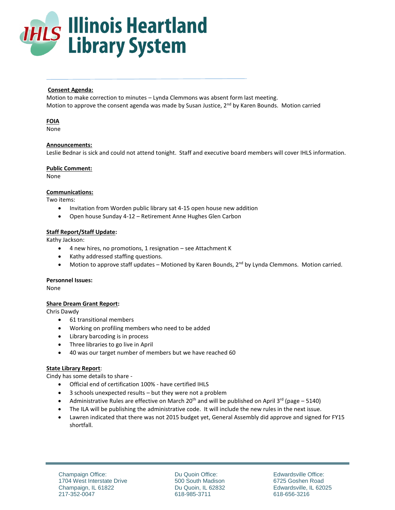

## **Consent Agenda:**

Motion to make correction to minutes – Lynda Clemmons was absent form last meeting. Motion to approve the consent agenda was made by Susan Justice, 2<sup>nd</sup> by Karen Bounds. Motion carried

## **FOIA**

None

#### **Announcements:**

Leslie Bednar is sick and could not attend tonight. Staff and executive board members will cover IHLS information.

#### **Public Comment:**

None

#### **Communications:**

Two items:

- Invitation from Worden public library sat 4-15 open house new addition
- Open house Sunday 4-12 Retirement Anne Hughes Glen Carbon

# **Staff Report/Staff Update:**

Kathy Jackson:

- 4 new hires, no promotions, 1 resignation see Attachment K
- Kathy addressed staffing questions.
- $\bullet$  Motion to approve staff updates Motioned by Karen Bounds,  $2^{nd}$  by Lynda Clemmons. Motion carried.

#### **Personnel Issues:**

None

# **Share Dream Grant Report:**

Chris Dawdy

- 61 transitional members
- Working on profiling members who need to be added
- Library barcoding is in process
- Three libraries to go live in April
- 40 was our target number of members but we have reached 60

#### **State Library Report**:

Cindy has some details to share -

- Official end of certification 100% have certified IHLS
- 3 schools unexpected results but they were not a problem
- Administrative Rules are effective on March 20<sup>th</sup> and will be published on April 3<sup>rd</sup> (page 5140)
- The ILA will be publishing the administrative code. It will include the new rules in the next issue.
- Lawren indicated that there was not 2015 budget yet, General Assembly did approve and signed for FY15 shortfall.

Du Quoin Office: 500 South Madison Du Quoin, IL 62832 618-985-3711

Edwardsville Office: 6725 Goshen Road Edwardsville, IL 62025 618-656-3216